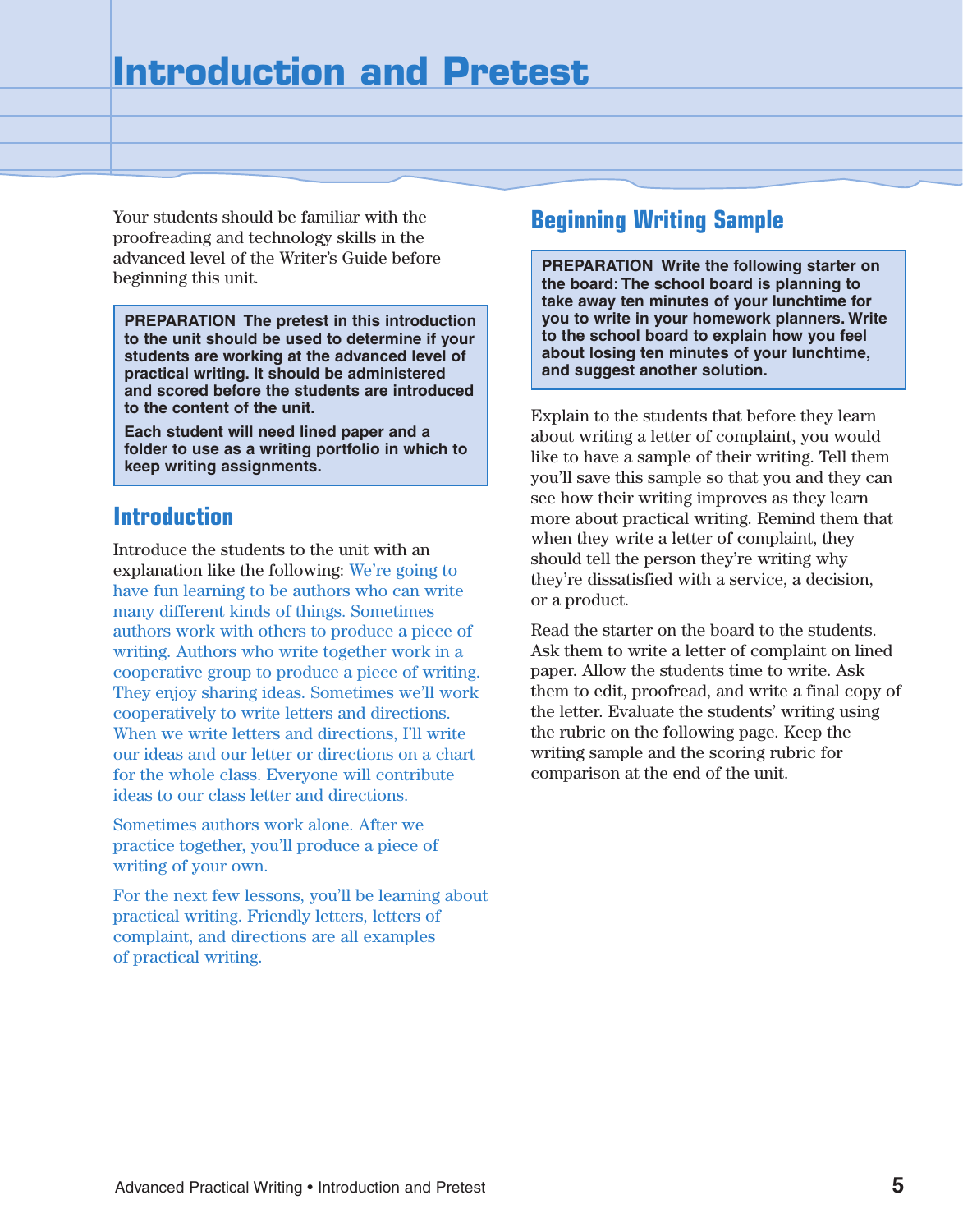Your students should be familiar with the proofreading and technology skills in the advanced level of the Writer's Guide before beginning this unit.

**PREPARATION The pretest in this introduction to the unit should be used to determine if your students are working at the advanced level of practical writing. It should be administered and scored before the students are introduced to the content of the unit.**

**Each student will need lined paper and a folder to use as a writing portfolio in which to keep writing assignments.**

### **Introduction**

Introduce the students to the unit with an explanation like the following: We're going to have fun learning to be authors who can write many different kinds of things. Sometimes authors work with others to produce a piece of writing. Authors who write together work in a cooperative group to produce a piece of writing. They enjoy sharing ideas. Sometimes we'll work cooperatively to write letters and directions. When we write letters and directions, I'll write our ideas and our letter or directions on a chart for the whole class. Everyone will contribute ideas to our class letter and directions.

Sometimes authors work alone. After we practice together, you'll produce a piece of writing of your own.

For the next few lessons, you'll be learning about practical writing. Friendly letters, letters of complaint, and directions are all examples of practical writing.

## **Beginning Writing Sample**

**PREPARATION Write the following starter on the board: The school board is planning to take away ten minutes of your lunchtime for you to write in your homework planners. Write to the school board to explain how you feel about losing ten minutes of your lunchtime, and suggest another solution.**

Explain to the students that before they learn about writing a letter of complaint, you would like to have a sample of their writing. Tell them you'll save this sample so that you and they can see how their writing improves as they learn more about practical writing. Remind them that when they write a letter of complaint, they should tell the person they're writing why they're dissatisfied with a service, a decision, or a product.

Read the starter on the board to the students. Ask them to write a letter of complaint on lined paper. Allow the students time to write. Ask them to edit, proofread, and write a final copy of the letter. Evaluate the students' writing using the rubric on the following page. Keep the writing sample and the scoring rubric for comparison at the end of the unit.